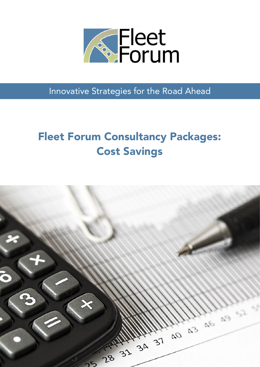

Innovative Strategies for the Road Ahead

# Fleet Forum Consultancy Packages: Cost Savings

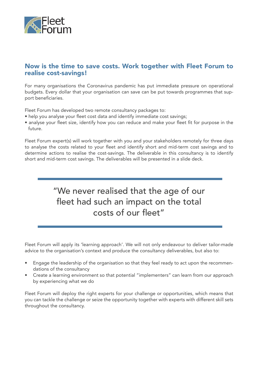

#### Now is the time to save costs. Work together with Fleet Forum to realise cost-savings!

For many organisations the Coronavirus pandemic has put immediate pressure on operational budgets. Every dollar that your organisation can save can be put towards programmes that support beneficiaries.

Fleet Forum has developed two remote consultancy packages to:

- help you analyse your fleet cost data and identify immediate cost savings;
- analyse your fleet size, identify how you can reduce and make your fleet fit for purpose in the future.

Fleet Forum expert(s) will work together with you and your stakeholders remotely for three days to analyse the costs related to your fleet and identify short and mid-term cost savings and to determine actions to realise the cost-savings. The deliverable in this consultancy is to identify short and mid-term cost savings. The deliverables will be presented in a slide deck.

## "We never realised that the age of our fleet had such an impact on the total costs of our fleet"

Fleet Forum will apply its 'learning approach'. We will not only endeavour to deliver tailor-made advice to the organisation's context and produce the consultancy deliverables, but also to:

- Engage the leadership of the organisation so that they feel ready to act upon the recommendations of the consultancy
- Create a learning environment so that potential "implementers" can learn from our approach by experiencing what we do

Fleet Forum will deploy the right experts for your challenge or opportunities, which means that you can tackle the challenge or seize the opportunity together with experts with different skill sets throughout the consultancy.